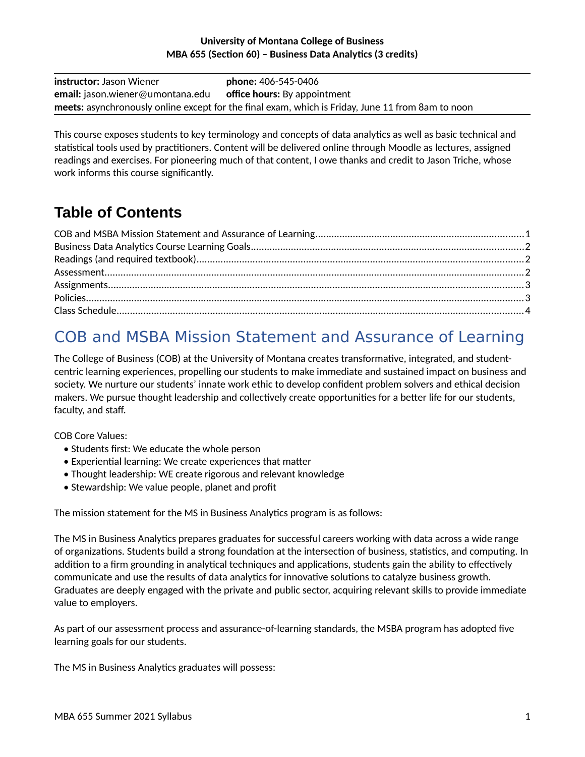#### **University of Montana College of Business MBA 655 (Section 60) – Business Data Analytics (3 credits)**

| <b>instructor:</b> Jason Wiener                                             | <b>phone:</b> 406-545-0406                                                                        |
|-----------------------------------------------------------------------------|---------------------------------------------------------------------------------------------------|
| <b>email:</b> jason.wiener@umontana.edu <b>office hours:</b> By appointment |                                                                                                   |
|                                                                             | meets: asynchronously online except for the final exam, which is Friday, June 11 from 8am to noon |

This course exposes students to key terminology and concepts of data analytics as well as basic technical and statistical tools used by practitioners. Content will be delivered online through Moodle as lectures, assigned readings and exercises. For pioneering much of that content, I owe thanks and credit to Jason Triche, whose work informs this course significantly.

## **Table of Contents**

# <span id="page-0-0"></span>COB and MSBA Mission Statement and Assurance of Learning

The College of Business (COB) at the University of Montana creates transformative, integrated, and studentcentric learning experiences, propelling our students to make immediate and sustained impact on business and society. We nurture our students' innate work ethic to develop confident problem solvers and ethical decision makers. We pursue thought leadership and collectively create opportunities for a better life for our students, faculty, and staff.

COB Core Values:

- Students first: We educate the whole person
- Experiential learning: We create experiences that matter
- Thought leadership: WE create rigorous and relevant knowledge
- Stewardship: We value people, planet and profit

The mission statement for the MS in Business Analytics program is as follows:

The MS in Business Analytics prepares graduates for successful careers working with data across a wide range of organizations. Students build a strong foundation at the intersection of business, statistics, and computing. In addition to a firm grounding in analytical techniques and applications, students gain the ability to effectively communicate and use the results of data analytics for innovative solutions to catalyze business growth. Graduates are deeply engaged with the private and public sector, acquiring relevant skills to provide immediate value to employers.

As part of our assessment process and assurance-of-learning standards, the MSBA program has adopted five learning goals for our students.

The MS in Business Analytics graduates will possess: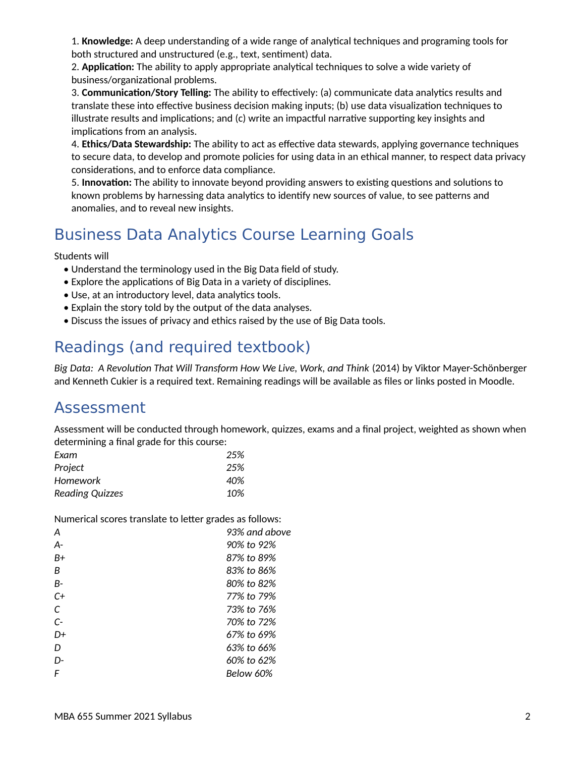1. **Knowledge:** A deep understanding of a wide range of analytical techniques and programing tools for both structured and unstructured (e.g., text, sentiment) data.

2. **Application:** The ability to apply appropriate analytical techniques to solve a wide variety of business/organizational problems.

3. **Communication/Story Telling:** The ability to effectively: (a) communicate data analytics results and translate these into effective business decision making inputs; (b) use data visualization techniques to illustrate results and implications; and (c) write an impactful narrative supporting key insights and implications from an analysis.

4. **Ethics/Data Stewardship:** The ability to act as effective data stewards, applying governance techniques to secure data, to develop and promote policies for using data in an ethical manner, to respect data privacy considerations, and to enforce data compliance.

5. **Innovation:** The ability to innovate beyond providing answers to existing questions and solutions to known problems by harnessing data analytics to identify new sources of value, to see patterns and anomalies, and to reveal new insights.

# <span id="page-1-2"></span>Business Data Analytics Course Learning Goals

Students will

- Understand the terminology used in the Big Data field of study.
- Explore the applications of Big Data in a variety of disciplines.
- Use, at an introductory level, data analytics tools.
- Explain the story told by the output of the data analyses.
- Discuss the issues of privacy and ethics raised by the use of Big Data tools.

# <span id="page-1-1"></span>Readings (and required textbook)

*Big Data: A Revolution That Will Transform How We Live, Work, and Think* (2014) by Viktor Mayer-Schönberger and Kenneth Cukier is a required text. Remaining readings will be available as files or links posted in Moodle.

### <span id="page-1-0"></span>Assessment

Assessment will be conducted through homework, quizzes, exams and a final project, weighted as shown when determining a final grade for this course:

| Exam            | 25% |
|-----------------|-----|
| Project         | 25% |
| Homework        | 40% |
| Reading Quizzes | 10% |

Numerical scores translate to letter grades as follows:

| Α    | 93% and above |
|------|---------------|
| А-   | 90% to 92%    |
| B+   | 87% to 89%    |
| B    | 83% to 86%    |
| B-   | 80% to 82%    |
| $C+$ | 77% to 79%    |
| C    | 73% to 76%    |
| $C-$ | 70% to 72%    |
| D+   | 67% to 69%    |
| D    | 63% to 66%    |
| D-   | 60% to 62%    |
| F    | Below 60%     |
|      |               |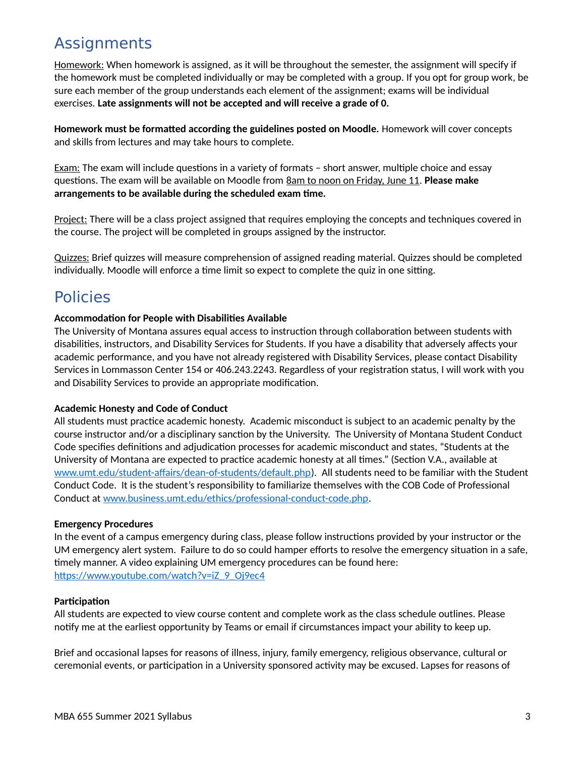## <span id="page-2-1"></span>**Assignments**

Homework: When homework is assigned, as it will be throughout the semester, the assignment will specify if the homework must be completed individually or may be completed with a group. If you opt for group work, be sure each member of the group understands each element of the assignment; exams will be individual exercises. **Late assignments will not be accepted and will receive a grade of 0.**

**Homework must be formatted according the guidelines posted on Moodle.** Homework will cover concepts and skills from lectures and may take hours to complete.

Exam: The exam will include questions in a variety of formats – short answer, multiple choice and essay questions. The exam will be available on Moodle from 8am to noon on Friday, June 11. **Please make arrangements to be available during the scheduled exam time.**

Project: There will be a class project assigned that requires employing the concepts and techniques covered in the course. The project will be completed in groups assigned by the instructor.

Quizzes: Brief quizzes will measure comprehension of assigned reading material. Quizzes should be completed individually. Moodle will enforce a time limit so expect to complete the quiz in one sitting.

## <span id="page-2-0"></span>Policies

### **Accommodation for People with Disabilities Available**

The University of Montana assures equal access to instruction through collaboration between students with disabilities, instructors, and Disability Services for Students. If you have a disability that adversely affects your academic performance, and you have not already registered with Disability Services, please contact Disability Services in Lommasson Center 154 or 406.243.2243. Regardless of your registration status, I will work with you and Disability Services to provide an appropriate modification.

#### **Academic Honesty and Code of Conduct**

All students must practice academic honesty. Academic misconduct is subject to an academic penalty by the course instructor and/or a disciplinary sanction by the University. The University of Montana Student Conduct Code specifies definitions and adjudication processes for academic misconduct and states, "Students at the University of Montana are expected to practice academic honesty at all times." (Section V.A., available at [www.umt.edu/student-affairs/dean-of-students/default.php\)](http://www.umt.edu/student-affairs/dean-of-students/default.php). All students need to be familiar with the Student Conduct Code. It is the student's responsibility to familiarize themselves with the COB Code of Professional Conduct at [www.business.umt.edu/ethics/professional-conduct-code.php.](http://www.business.umt.edu/ethics/professional-conduct-code.php)

#### **Emergency Procedures**

In the event of a campus emergency during class, please follow instructions provided by your instructor or the UM emergency alert system. Failure to do so could hamper efforts to resolve the emergency situation in a safe, timely manner. A video explaining UM emergency procedures can be found here: [https://www.youtube.com/watch?v=iZ\\_9\\_Oj9ec4](https://www.youtube.com/watch?v=iZ_9_Oj9ec4)

#### **Participation**

All students are expected to view course content and complete work as the class schedule outlines. Please notify me at the earliest opportunity by Teams or email if circumstances impact your ability to keep up.

Brief and occasional lapses for reasons of illness, injury, family emergency, religious observance, cultural or ceremonial events, or participation in a University sponsored activity may be excused. Lapses for reasons of